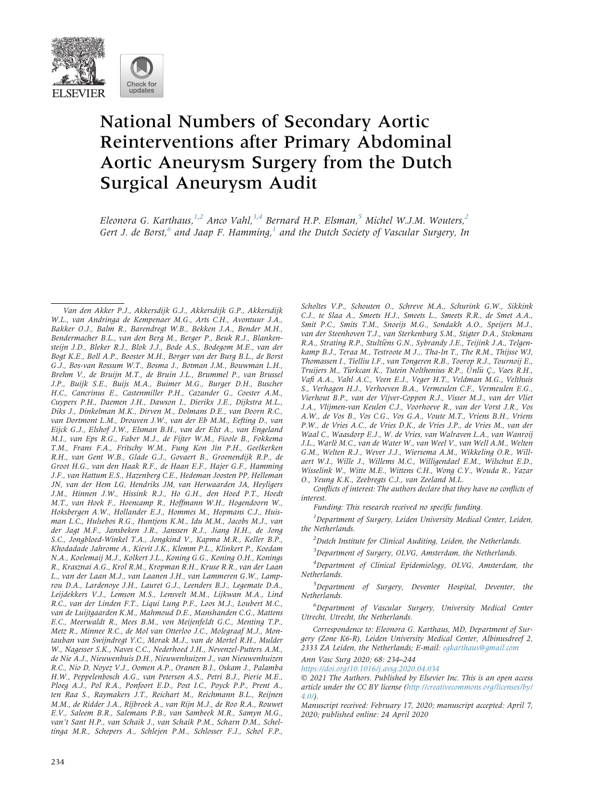

# National Numbers of Secondary Aortic Reinterventions after Primary Abdominal Aortic Aneurysm Surgery from the Dutch Surgical Aneurysm Audit

Eleonora G. Karthaus,<sup>[1](#page-0-0)[,2](#page-0-1)</sup> Anco Vahl,<sup>[3](#page-0-2)[,4](#page-0-3)</sup> Bernard H.P. Elsman,<sup>[5](#page-0-4)</sup> Michel W.J.M. Wouters,<sup>[2](#page-0-1)</sup> Gert J. de Borst, $^6$  $^6$  and Jaap F. Hamming, $^1$  $^1$  and the Dutch Society of Vascular Surgery, In

Van den Akker P.J., Akkersdijk G.J., Akkersdijk G.P., Akkersdijk W.L., van Andringa de Kempenaer M.G., Arts C.H., Avontuur J.A., Bakker O.J., Balm R., Barendregt W.B., Bekken J.A., Bender M.H., Bendermacher B.L., van den Berg M., Berger P., Beuk R.J., Blankensteijn J.D., Bleker R.J., Blok J.J., Bode A.S., Bodegom M.E., van der Bogt K.E., Boll A.P., Booster M.H., Borger van der Burg B.L., de Borst G.J., Bos-van Rossum W.T., Bosma J., Botman J.M., Bouwman L.H., Brehm V., de Bruijn M.T., de Bruin J.L., Brummel P., van Brussel J.P., Buijk S.E., Buijs M.A., Buimer M.G., Burger D.H., Buscher H.C., Cancrinus E., Castenmiller P.H., Cazander G., Coester A.M., Cuypers P.H., Daemen J.H., Dawson I., Dierikx J.E., Dijkstra M.L., Diks J., Dinkelman M.K., Dirven M., Dolmans D.E., van Doorn R.C., van Dortmont L.M., Drouven J.W., van der Eb M.M., Eefting D., van Eijck G.J., Elshof J.W., Elsman B.H., van der Elst A., van Engeland M.I., van Eps R.G., Faber M.J., de Fijter W.M., Fioole B., Fokkema T.M., Frans F.A., Fritschy W.M., Fung Kon Jin P.H., Geelkerken R.H., van Gent W.B., Glade G.J., Govaert B., Groenendijk R.P., de Groot H.G., van den Haak R.F., de Haan E.F., Hajer G.F., Hamming J.F., van Hattum E.S., Hazenberg C.E., Hedeman Joosten PP, Helleman JN, van der Hem LG, Hendriks JM, van Herwaarden JA, Heyligers J.M., Hinnen J.W., Hissink R.J., Ho G.H., den Hoed P.T., Hoedt M.T., van Hoek F., Hoencamp R., Hoffmann W.H., Hogendoorn W., Hoksbergen A.W., Hollander E.J., Hommes M., Hopmans C.J., Huisman L.C., Hulsebos R.G., Huntjens K.M., Idu M.M., Jacobs M.J., van der Jagt M.F., Jansbeken J.R., Janssen R.J., Jiang H.H., de Jong S.C., Jongbloed-Winkel T.A., Jongkind V., Kapma M.R., Keller B.P., Khodadade Jahrome A., Kievit J.K., Klemm P.L., Klinkert P., Koedam N.A., Koelemaij M.J., Kolkert J.L., Koning G.G., Koning O.H., Konings R., Krasznai A.G., Krol R.M., Kropman R.H., Kruse R.R., van der Laan L., van der Laan M.J., van Laanen J.H., van Lammeren G.W., Lamprou D.A., Lardenoye J.H., Lauret G.J., Leenders B.J., Legemate D.A., Leijdekkers V.J., Lemson M.S., Lensvelt M.M., Lijkwan M.A., Lind R.C., van der Linden F.T., Liqui Lung P.F., Loos M.J., Loubert M.C., van de Luijtgaarden K.M., Mahmoud D.E., Manshanden C.G., Mattens E.C., Meerwaldt R., Mees B.M., von Meijenfeldt G.C., Menting T.P., Metz R., Minnee R.C., de Mol van Otterloo J.C., Molegraaf M.J., Montauban van Swijndregt Y.C., Morak M.J., van de Mortel R.H., Mulder W., Nagesser S.K., Naves C.C., Nederhoed J.H., Nevenzel-Putters A.M., de Nie A.J., Nieuwenhuis D.H., Nieuwenhuizen J., van Nieuwenhuizen R.C., Nio D, Noyez V.J., Oomen A.P., Oranen B.I., Oskam J., Palamba H.W., Peppelenbosch A.G., van Petersen A.S., Petri B.J., Pierie M.E., Ploeg A.J., Pol R.A., Ponfoort E.D., Post I.C., Poyck P.P., Prent A., ten Raa S., Raymakers J.T., Reichart M., Reichmann B.L., Reijnen M.M., de Ridder J.A., Rijbroek A., van Rijn M.J., de Roo R.A., Rouwet E.V., Saleem B.R., Salemans P.B., van Sambeek M.R., Samyn M.G., van't Sant H.P., van Schaik J., van Schaik P.M., Scharn D.M., Scheltinga M.R., Schepers A., Schlejen P.M., Schlosser F.J., Schol F.P., Scholtes V.P., Schouten O., Schreve M.A., Schurink G.W., Sikkink C.J., te Slaa A., Smeets H.J., Smeets L., Smeets R.R., de Smet A.A., Smit P.C., Smits T.M., Snoeijs M.G., Sondakh A.O., Speijers M.J., van der Steenhoven T.J., van Sterkenburg S.M., Stigter D.A., Stokmans R.A., Strating R.P., Stultiens G.N., Sybrandy J.E., Teijink J.A., Telgenkamp B.J., Teraa M., Testroote M J.,. Tha-In T., The R.M., Thijsse WJ, Thomassen I., Tielliu I.F., van Tongeren R.B., Toorop R.J., Tournoij E., Truijers M., Turkcan K., Tutein Nolthenius R.P., Unlu C., Vaes R.H., Vafi A.A., Vahl A.C., Veen E.J., Veger H.T., Veldman M.G., Velthuis S., Verhagen H.J., Verhoeven B.A., Vermeulen C.F., Vermeulen E.G., Vierhout B.P., van der Vijver-Coppen R.J., Visser M.J., van der Vliet J.A., Vlijmen-van Keulen C.J., Voorhoeve R., van der Vorst J.R., Vos A.W., de Vos B., Vos C.G., Vos G.A., Voute M.T., Vriens B.H., Vriens P.W., de Vries A.C., de Vries D.K., de Vries J.P., de Vries M., van der Waal C., Waasdorp E.J., W. de Vries, van Walraven L.A., van Wanroij J.L., Warlé M.C., van de Water W., van Weel V., van Well A.M., Welten G.M., Welten R.J., Wever J.J., Wiersema A.M., Wikkeling O.R., Willaert W.I., Wille J., Willems M.C., Willigendael E.M., Wilschut E.D., Wisselink W., Witte M.E., Wittens C.H., Wong C.Y., Wouda R., Yazar O., Yeung K.K., Zeebregts C.J., van Zeeland M.L.

Conflicts of interest: The authors declare that they have no conflicts of interest.

Funding: This research received no specific funding.

<span id="page-0-0"></span><sup>1</sup>Department of Surgery, Leiden University Medical Center, Leiden, the Netherlands.

<span id="page-0-1"></span> $<sup>2</sup>$ Dutch Institute for Clinical Auditing, Leiden, the Netherlands.</sup>

<sup>3</sup>Department of Surgery, OLVG, Amsterdam, the Netherlands.

<span id="page-0-3"></span><span id="page-0-2"></span><sup>4</sup>Department of Clinical Epidemiology, OLVG, Amsterdam, the Netherlands.

<span id="page-0-4"></span><sup>5</sup>Department of Surgery, Deventer Hospital, Deventer, the Netherlands.

<span id="page-0-5"></span>6 Department of Vascular Surgery, University Medical Center Utrecht, Utrecht, the Netherlands.

Correspondence to: Eleonora G. Karthaus, MD, Department of Surgery (Zone K6-R), Leiden University Medical Center, Albinusdreef 2, 2333 ZA Leiden, the Netherlands; E-mail: [egkarthaus@gmail.com](mailto:egkarthaus@gmail.com)

Ann Vasc Surg 2020; 68: 234–244

<https://doi.org/10.1016/j.avsg.2020.04.034>

 2021 The Authors. Published by Elsevier Inc. This is an open access article under the CC BY license [\(http://creativecommons.org/licenses/by/](http://creativecommons.org/licenses/by/4.0/) [4.0/\)](http://creativecommons.org/licenses/by/4.0/).

Manuscript received: February 17, 2020; manuscript accepted: April 7, 2020; published online: 24 April 2020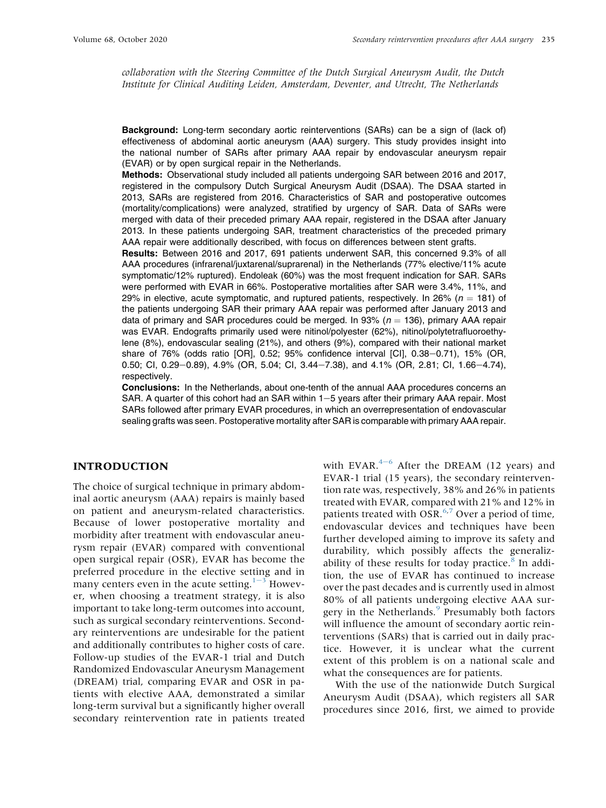collaboration with the Steering Committee of the Dutch Surgical Aneurysm Audit, the Dutch Institute for Clinical Auditing Leiden, Amsterdam, Deventer, and Utrecht, The Netherlands

Background: Long-term secondary aortic reinterventions (SARs) can be a sign of (lack of) effectiveness of abdominal aortic aneurysm (AAA) surgery. This study provides insight into the national number of SARs after primary AAA repair by endovascular aneurysm repair (EVAR) or by open surgical repair in the Netherlands.

Methods: Observational study included all patients undergoing SAR between 2016 and 2017, registered in the compulsory Dutch Surgical Aneurysm Audit (DSAA). The DSAA started in 2013, SARs are registered from 2016. Characteristics of SAR and postoperative outcomes (mortality/complications) were analyzed, stratified by urgency of SAR. Data of SARs were merged with data of their preceded primary AAA repair, registered in the DSAA after January 2013. In these patients undergoing SAR, treatment characteristics of the preceded primary AAA repair were additionally described, with focus on differences between stent grafts.

Results: Between 2016 and 2017, 691 patients underwent SAR, this concerned 9.3% of all AAA procedures (infrarenal/juxtarenal/suprarenal) in the Netherlands (77% elective/11% acute symptomatic/12% ruptured). Endoleak (60%) was the most frequent indication for SAR. SARs were performed with EVAR in 66%. Postoperative mortalities after SAR were 3.4%, 11%, and 29% in elective, acute symptomatic, and ruptured patients, respectively. In 26% ( $n = 181$ ) of the patients undergoing SAR their primary AAA repair was performed after January 2013 and data of primary and SAR procedures could be merged. In 93% ( $n = 136$ ), primary AAA repair was EVAR. Endografts primarily used were nitinol/polyester (62%), nitinol/polytetrafluoroethylene (8%), endovascular sealing (21%), and others (9%), compared with their national market share of  $76\%$  (odds ratio [OR], 0.52; 95% confidence interval [CI], 0.38-0.71), 15% (OR, 0.50; CI, 0.29-0.89), 4.9% (OR, 5.04; CI, 3.44-7.38), and 4.1% (OR, 2.81; CI, 1.66-4.74), respectively.

Conclusions: In the Netherlands, about one-tenth of the annual AAA procedures concerns an SAR. A quarter of this cohort had an SAR within 1-5 years after their primary AAA repair. Most SARs followed after primary EVAR procedures, in which an overrepresentation of endovascular sealing grafts was seen. Postoperative mortality after SAR is comparable with primary AAA repair.

# INTRODUCTION

The choice of surgical technique in primary abdominal aortic aneurysm (AAA) repairs is mainly based on patient and aneurysm-related characteristics. Because of lower postoperative mortality and morbidity after treatment with endovascular aneurysm repair (EVAR) compared with conventional open surgical repair (OSR), EVAR has become the preferred procedure in the elective setting and in many c[e](#page-10-0)nters even in the acute setting. $1-3$  $1-3$  However, when choosing a treatment strategy, it is also important to take long-term outcomes into account, such as surgical secondary reinterventions. Secondary reinterventions are undesirable for the patient and additionally contributes to higher costs of care. Follow-up studies of the EVAR-1 trial and Dutch Randomized Endovascular Aneurysm Management (DREAM) trial, comparing EVAR and OSR in patients with elective AAA, demonstrated a similar long-term survival but a significantly higher overall secondary reintervention rate in patients treated with EVAR. $4-6$  $4-6$  Aft[e](#page-10-1)r the DREAM (12 years) and EVAR-1 trial (15 years), the secondary reintervention rate was, respectively, 38% and 26% in patients treated with EVAR, compared with 21% and 12% in patients treated with  $\overline{OSR}^{6,7}$  $\overline{OSR}^{6,7}$  $\overline{OSR}^{6,7}$  $\overline{OSR}^{6,7}$  Over a period of time, endovascular devices and techniques have been further developed aiming to improve its safety and durability, which possibly affects the generalizability of these results for today practice. $8 \text{ In } addi$  $8 \text{ In } addi$ tion, the use of EVAR has continued to increase over the past decades and is currently used in almost 80% of all patients undergoing elective AAA sur-gery in the Netherlands.<sup>[9](#page-10-5)</sup> Presumably both factors will influence the amount of secondary aortic reinterventions (SARs) that is carried out in daily practice. However, it is unclear what the current extent of this problem is on a national scale and what the consequences are for patients.

With the use of the nationwide Dutch Surgical Aneurysm Audit (DSAA), which registers all SAR procedures since 2016, first, we aimed to provide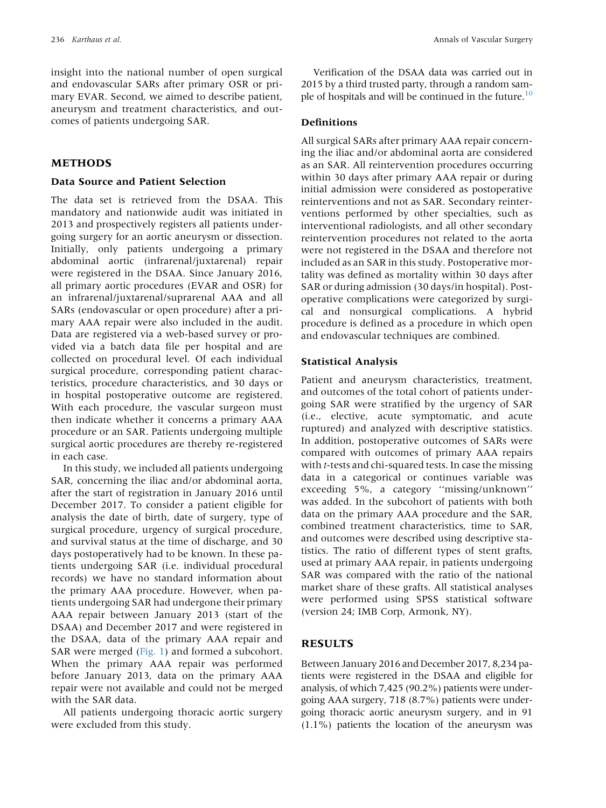insight into the national number of open surgical and endovascular SARs after primary OSR or primary EVAR. Second, we aimed to describe patient, aneurysm and treatment characteristics, and outcomes of patients undergoing SAR.

### METHODS

#### Data Source and Patient Selection

The data set is retrieved from the DSAA. This mandatory and nationwide audit was initiated in 2013 and prospectively registers all patients undergoing surgery for an aortic aneurysm or dissection. Initially, only patients undergoing a primary abdominal aortic (infrarenal/juxtarenal) repair were registered in the DSAA. Since January 2016, all primary aortic procedures (EVAR and OSR) for an infrarenal/juxtarenal/suprarenal AAA and all SARs (endovascular or open procedure) after a primary AAA repair were also included in the audit. Data are registered via a web-based survey or provided via a batch data file per hospital and are collected on procedural level. Of each individual surgical procedure, corresponding patient characteristics, procedure characteristics, and 30 days or in hospital postoperative outcome are registered. With each procedure, the vascular surgeon must then indicate whether it concerns a primary AAA procedure or an SAR. Patients undergoing multiple surgical aortic procedures are thereby re-registered in each case.

In this study, we included all patients undergoing SAR, concerning the iliac and/or abdominal aorta, after the start of registration in January 2016 until December 2017. To consider a patient eligible for analysis the date of birth, date of surgery, type of surgical procedure, urgency of surgical procedure, and survival status at the time of discharge, and 30 days postoperatively had to be known. In these patients undergoing SAR (i.e. individual procedural records) we have no standard information about the primary AAA procedure. However, when patients undergoing SAR had undergone their primary AAA repair between January 2013 (start of the DSAA) and December 2017 and were registered in the DSAA, data of the primary AAA repair and SAR were merged ([Fig. 1](#page-4-0)) and formed a subcohort. When the primary AAA repair was performed before January 2013, data on the primary AAA repair were not available and could not be merged with the SAR data.

All patients undergoing thoracic aortic surgery were excluded from this study.

Verification of the DSAA data was carried out in 2015 by a third trusted party, through a random sample of hospitals and will be continued in the future.<sup>10</sup>

### Definitions

All surgical SARs after primary AAA repair concerning the iliac and/or abdominal aorta are considered as an SAR. All reintervention procedures occurring within 30 days after primary AAA repair or during initial admission were considered as postoperative reinterventions and not as SAR. Secondary reinterventions performed by other specialties, such as interventional radiologists, and all other secondary reintervention procedures not related to the aorta were not registered in the DSAA and therefore not included as an SAR in this study. Postoperative mortality was defined as mortality within 30 days after SAR or during admission (30 days/in hospital). Postoperative complications were categorized by surgical and nonsurgical complications. A hybrid procedure is defined as a procedure in which open and endovascular techniques are combined.

#### Statistical Analysis

Patient and aneurysm characteristics, treatment, and outcomes of the total cohort of patients undergoing SAR were stratified by the urgency of SAR (i.e., elective, acute symptomatic, and acute ruptured) and analyzed with descriptive statistics. In addition, postoperative outcomes of SARs were compared with outcomes of primary AAA repairs with *t*-tests and chi-squared tests. In case the missing data in a categorical or continues variable was exceeding 5%, a category ''missing/unknown'' was added. In the subcohort of patients with both data on the primary AAA procedure and the SAR, combined treatment characteristics, time to SAR, and outcomes were described using descriptive statistics. The ratio of different types of stent grafts, used at primary AAA repair, in patients undergoing SAR was compared with the ratio of the national market share of these grafts. All statistical analyses were performed using SPSS statistical software (version 24; IMB Corp, Armonk, NY).

## RESULTS

Between January 2016 and December 2017, 8,234 patients were registered in the DSAA and eligible for analysis, of which 7,425 (90.2%) patients were undergoing AAA surgery, 718 (8.7%) patients were undergoing thoracic aortic aneurysm surgery, and in 91 (1.1%) patients the location of the aneurysm was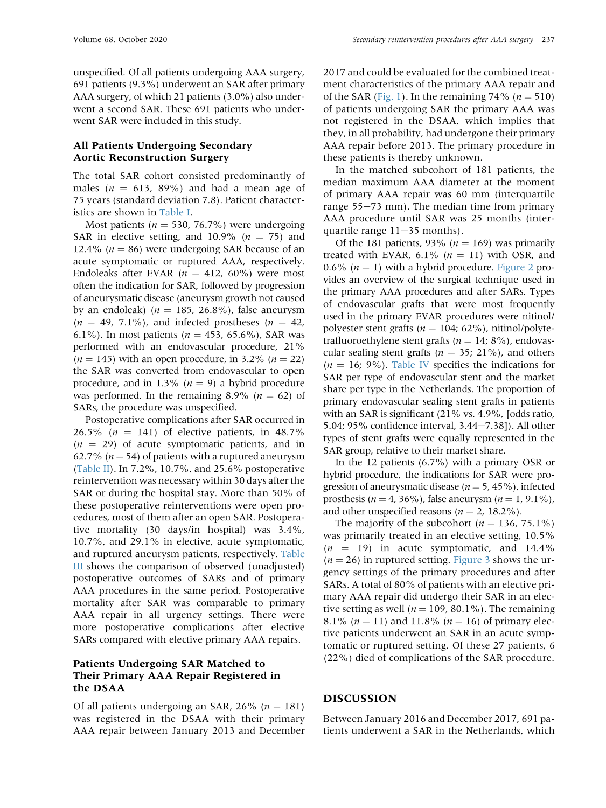unspecified. Of all patients undergoing AAA surgery, 691 patients (9.3%) underwent an SAR after primary AAA surgery, of which 21 patients (3.0%) also underwent a second SAR. These 691 patients who underwent SAR were included in this study.

# All Patients Undergoing Secondary Aortic Reconstruction Surgery

The total SAR cohort consisted predominantly of males ( $n = 613$ , 89%) and had a mean age of 75 years (standard deviation 7.8). Patient characteristics are shown in [Table I](#page-5-0).

Most patients ( $n = 530, 76.7\%$ ) were undergoing SAR in elective setting, and 10.9% ( $n = 75$ ) and 12.4% ( $n = 86$ ) were undergoing SAR because of an acute symptomatic or ruptured AAA, respectively. Endoleaks after EVAR ( $n = 412, 60\%$ ) were most often the indication for SAR, followed by progression of aneurysmatic disease (aneurysm growth not caused by an endoleak) ( $n = 185, 26.8\%$ ), false aneurysm  $(n = 49, 7.1\%)$ , and infected prostheses  $(n = 42,$ 6.1%). In most patients ( $n = 453$ , 65.6%), SAR was performed with an endovascular procedure, 21% ( $n = 145$ ) with an open procedure, in 3.2% ( $n = 22$ ) the SAR was converted from endovascular to open procedure, and in 1.3% ( $n = 9$ ) a hybrid procedure was performed. In the remaining 8.9% ( $n = 62$ ) of SARs, the procedure was unspecified.

Postoperative complications after SAR occurred in 26.5% ( $n = 141$ ) of elective patients, in 48.7%  $(n = 29)$  of acute symptomatic patients, and in 62.7% ( $n = 54$ ) of patients with a ruptured aneurysm [\(Table II\)](#page-6-0). In 7.2%, 10.7%, and 25.6% postoperative reintervention was necessary within 30 days after the SAR or during the hospital stay. More than 50% of these postoperative reinterventions were open procedures, most of them after an open SAR. Postoperative mortality (30 days/in hospital) was 3.4%, 10.7%, and 29.1% in elective, acute symptomatic, and ruptured aneurysm patients, respectively. [Table](#page-7-0) [III](#page-7-0) shows the comparison of observed (unadjusted) postoperative outcomes of SARs and of primary AAA procedures in the same period. Postoperative mortality after SAR was comparable to primary AAA repair in all urgency settings. There were more postoperative complications after elective SARs compared with elective primary AAA repairs.

# Patients Undergoing SAR Matched to Their Primary AAA Repair Registered in the DSAA

Of all patients undergoing an SAR, 26% ( $n = 181$ ) was registered in the DSAA with their primary AAA repair between January 2013 and December 2017 and could be evaluated for the combined treatment characteristics of the primary AAA repair and of the SAR ([Fig. 1\)](#page-4-0). In the remaining 74% ( $n = 510$ ) of patients undergoing SAR the primary AAA was not registered in the DSAA, which implies that they, in all probability, had undergone their primary AAA repair before 2013. The primary procedure in these patients is thereby unknown.

In the matched subcohort of 181 patients, the median maximum AAA diameter at the moment of primary AAA repair was 60 mm (interquartile range  $55-73$  mm). The median time from primary AAA procedure until SAR was 25 months (interquartile range  $11-35$  months).

Of the 181 patients, 93% ( $n = 169$ ) was primarily treated with EVAR, 6.1% ( $n = 11$ ) with OSR, and 0.6% ( $n = 1$ ) with a hybrid procedure. [Figure 2](#page-8-0) provides an overview of the surgical technique used in the primary AAA procedures and after SARs. Types of endovascular grafts that were most frequently used in the primary EVAR procedures were nitinol/ polyester stent grafts ( $n = 104$ ; 62%), nitinol/polytetrafluoroethylene stent grafts ( $n = 14$ ; 8%), endovascular sealing stent grafts ( $n = 35$ ; 21%), and others  $(n = 16; 9\%)$ . [Table IV](#page-8-1) specifies the indications for SAR per type of endovascular stent and the market share per type in the Netherlands. The proportion of primary endovascular sealing stent grafts in patients with an SAR is significant (21% vs. 4.9%, [odds ratio, 5.04; 95% confidence interval, 3.44-7.38]). All other types of stent grafts were equally represented in the SAR group, relative to their market share.

In the 12 patients (6.7%) with a primary OSR or hybrid procedure, the indications for SAR were progression of aneurysmatic disease ( $n = 5$ , 45%), infected prosthesis ( $n = 4$ , 36%), false aneurysm ( $n = 1, 9.1\%$ ), and other unspecified reasons ( $n = 2$ , 18.2%).

The majority of the subcohort ( $n = 136, 75.1\%$ ) was primarily treated in an elective setting, 10.5%  $(n = 19)$  in acute symptomatic, and 14.4%  $(n = 26)$  in ruptured setting. [Figure 3](#page-9-0) shows the urgency settings of the primary procedures and after SARs. A total of 80% of patients with an elective primary AAA repair did undergo their SAR in an elective setting as well ( $n = 109$ , 80.1%). The remaining 8.1% ( $n = 11$ ) and 11.8% ( $n = 16$ ) of primary elective patients underwent an SAR in an acute symptomatic or ruptured setting. Of these 27 patients, 6 (22%) died of complications of the SAR procedure.

### DISCUSSION

Between January 2016 and December 2017, 691 patients underwent a SAR in the Netherlands, which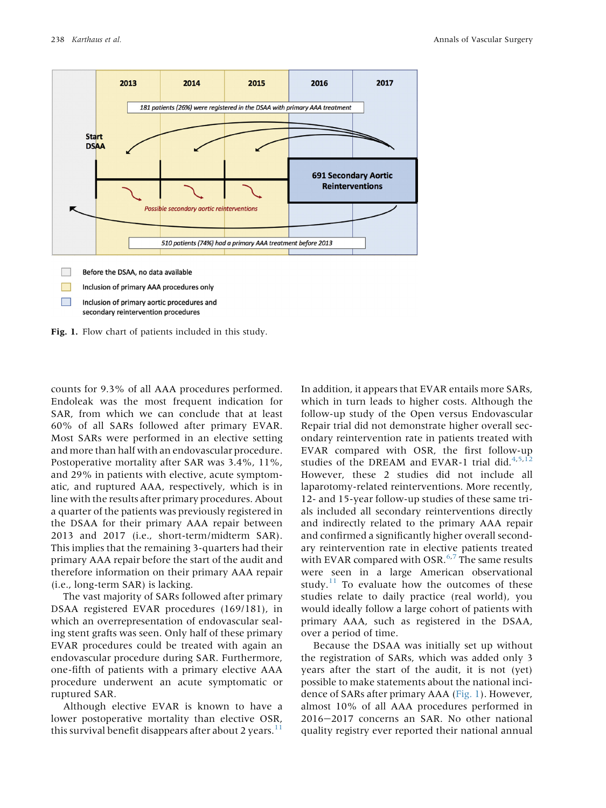<span id="page-4-0"></span>

secondary reintervention procedures

Fig. 1. Flow chart of patients included in this study.

counts for 9.3% of all AAA procedures performed. Endoleak was the most frequent indication for SAR, from which we can conclude that at least 60% of all SARs followed after primary EVAR. Most SARs were performed in an elective setting and more than half with an endovascular procedure. Postoperative mortality after SAR was 3.4%, 11%, and 29% in patients with elective, acute symptomatic, and ruptured AAA, respectively, which is in line with the results after primary procedures. About a quarter of the patients was previously registered in the DSAA for their primary AAA repair between 2013 and 2017 (i.e., short-term/midterm SAR). This implies that the remaining 3-quarters had their primary AAA repair before the start of the audit and therefore information on their primary AAA repair (i.e., long-term SAR) is lacking.

The vast majority of SARs followed after primary DSAA registered EVAR procedures (169/181), in which an overrepresentation of endovascular sealing stent grafts was seen. Only half of these primary EVAR procedures could be treated with again an endovascular procedure during SAR. Furthermore, one-fifth of patients with a primary elective AAA procedure underwent an acute symptomatic or ruptured SAR.

Although elective EVAR is known to have a lower postoperative mortality than elective OSR, this survival benefit disappears after about 2 years. $11$ 

In addition, it appears that EVAR entails more SARs, which in turn leads to higher costs. Although the follow-up study of the Open versus Endovascular Repair trial did not demonstrate higher overall secondary reintervention rate in patients treated with EVAR compared with OSR, the first follow-up studies of the DREAM and EVAR-1 trial did. $4,5,12$  $4,5,12$  $4,5,12$ However, these 2 studies did not include all laparotomy-related reinterventions. More recently, 12- and 15-year follow-up studies of these same trials included all secondary reinterventions directly and indirectly related to the primary AAA repair and confirmed a significantly higher overall secondary reintervention rate in elective patients treated with EVAR compared with OSR. $6,7$  $6,7$  $6,7$  The same results were seen in a large American observational study. $11$  To evaluate how the outcomes of these studies relate to daily practice (real world), you would ideally follow a large cohort of patients with primary AAA, such as registered in the DSAA, over a period of time.

Because the DSAA was initially set up without the registration of SARs, which was added only 3 years after the start of the audit, it is not (yet) possible to make statements about the national incidence of SARs after primary AAA ([Fig. 1\)](#page-4-0). However, almost 10% of all AAA procedures performed in 2016-2017 concerns an SAR. No other national quality registry ever reported their national annual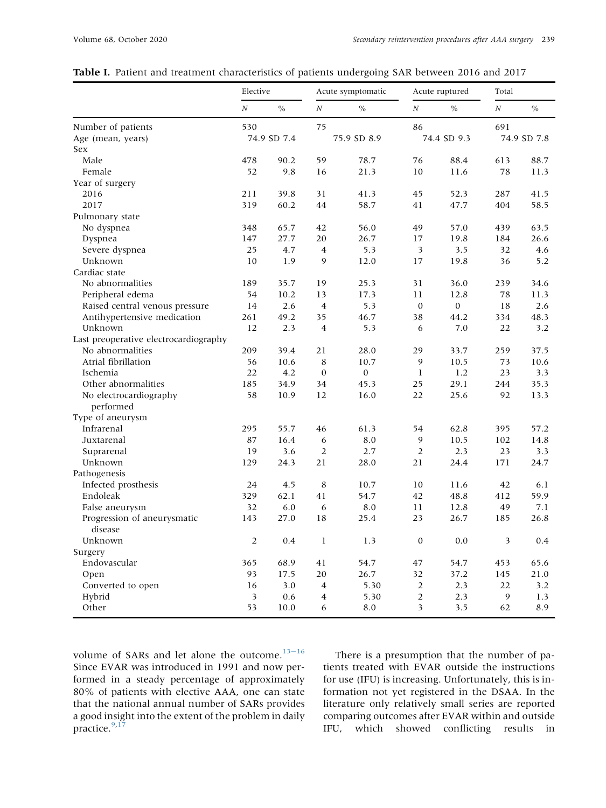|                                        | Elective         |               |                  | Acute symptomatic |                  | Acute ruptured | Total            |               |
|----------------------------------------|------------------|---------------|------------------|-------------------|------------------|----------------|------------------|---------------|
|                                        | $\boldsymbol{N}$ | $\frac{0}{0}$ | $\cal N$         | $\frac{0}{0}$     | $\cal N$         | $\frac{0}{0}$  | $\boldsymbol{N}$ | $\frac{0}{0}$ |
| Number of patients                     | 530              |               | 75               |                   | 86               |                | 691              |               |
| Age (mean, years)                      |                  | 74.9 SD 7.4   |                  | 75.9 SD 8.9       |                  | 74.4 SD 9.3    |                  | 74.9 SD 7.8   |
| Sex                                    |                  |               |                  |                   |                  |                |                  |               |
| Male                                   | 478              | 90.2          | 59               | 78.7              | 76               | 88.4           | 613              | 88.7          |
| Female                                 | 52               | 9.8           | 16               | 21.3              | 10               | 11.6           | 78               | 11.3          |
| Year of surgery                        |                  |               |                  |                   |                  |                |                  |               |
| 2016                                   | 211              | 39.8          | 31               | 41.3              | 45               | 52.3           | 287              | 41.5          |
| 2017                                   | 319              | 60.2          | 44               | 58.7              | 41               | 47.7           | 404              | 58.5          |
| Pulmonary state                        |                  |               |                  |                   |                  |                |                  |               |
| No dyspnea                             | 348              | 65.7          | 42               | 56.0              | 49               | 57.0           | 439              | 63.5          |
| Dyspnea                                | 147              | 27.7          | 20               | 26.7              | 17               | 19.8           | 184              | 26.6          |
| Severe dyspnea                         | 25               | 4.7           | $\overline{4}$   | 5.3               | 3                | 3.5            | 32               | 4.6           |
| Unknown                                | 10               | 1.9           | 9                | 12.0              | 17               | 19.8           | 36               | 5.2           |
| Cardiac state                          |                  |               |                  |                   |                  |                |                  |               |
| No abnormalities                       | 189              | 35.7          | 19               | 25.3              | 31               | 36.0           | 239              | 34.6          |
| Peripheral edema                       | 54               | 10.2          | 13               | 17.3              | 11               | 12.8           | 78               | 11.3          |
| Raised central venous pressure         | 14               | 2.6           | $\overline{4}$   | 5.3               | $\boldsymbol{0}$ | $\mathbf{0}$   | 18               | 2.6           |
| Antihypertensive medication            | 261              | 49.2          | 35               | 46.7              | 38               | 44.2           | 334              | 48.3          |
| Unknown                                | 12               | 2.3           | $\overline{4}$   | 5.3               | 6                | 7.0            | 22               | 3.2           |
| Last preoperative electrocardiography  |                  |               |                  |                   |                  |                |                  |               |
| No abnormalities                       | 209              | 39.4          | 21               | 28.0              | 29               | 33.7           | 259              | 37.5          |
| Atrial fibrillation                    | 56               | 10.6          | 8                | 10.7              | $\mathbf{9}$     | 10.5           | 73               | 10.6          |
| Ischemia                               | 22               | 4.2           | $\mathbf{0}$     | $\boldsymbol{0}$  | 1                | 1.2            | 23               | 3.3           |
| Other abnormalities                    | 185              | 34.9          | 34               | 45.3              | 25               | 29.1           | 244              | 35.3          |
| No electrocardiography                 | 58               | 10.9          | 12               | 16.0              | 22               | 25.6           | 92               | 13.3          |
| performed                              |                  |               |                  |                   |                  |                |                  |               |
| Type of aneurysm                       |                  |               |                  |                   |                  |                |                  |               |
| Infrarenal                             | 295              | 55.7          | 46               | 61.3              | 54               | 62.8           | 395              | 57.2          |
| Juxtarenal                             | 87               | 16.4          | 6                | 8.0               | 9                | 10.5           | 102              | 14.8          |
| Suprarenal                             | 19               | 3.6           | $\overline{2}$   | 2.7               | $\overline{2}$   | 2.3            | 23               | 3.3           |
| Unknown                                | 129              | 24.3          | 21               | 28.0              | 21               | 24.4           | 171              | 24.7          |
| Pathogenesis                           |                  |               |                  |                   |                  |                |                  |               |
| Infected prosthesis                    | 24               | 4.5           | 8                | 10.7              | 10               | 11.6           | 42               | 6.1           |
| Endoleak                               | 329              | 62.1          | 41               | 54.7              | 42               | 48.8           | 412              | 59.9          |
| False aneurysm                         | 32               | 6.0           | 6                | 8.0               | 11               | 12.8           | 49               | 7.1           |
| Progression of aneurysmatic<br>disease | 143              | 27.0          | 18               | 25.4              | 23               | 26.7           | 185              | 26.8          |
| Unknown                                | $\sqrt{2}$       | $0.4\,$       | $\bf{l}$         | 1.3               | $\boldsymbol{0}$ | $0.0\,$        | 3                | $0.4\,$       |
| Surgery                                |                  |               |                  |                   |                  |                |                  |               |
| Endovascular                           | 365              | 68.9          | 41               | 54.7              | 47               | 54.7           | 453              | 65.6          |
| Open                                   | 93               | 17.5          | $20\,$           | 26.7              | 32               | 37.2           | 145              | 21.0          |
| Converted to open                      | 16               | 3.0           | $\overline{4}$   | 5.30              | $\overline{2}$   | 2.3            | 22               | 3.2           |
| Hybrid                                 | 3                | 0.6           | $\boldsymbol{4}$ | 5.30              | $\overline{c}$   | 2.3            | 9                | 1.3           |
| Other                                  | 53               | 10.0          | 6                | 8.0               | 3                | 3.5            | 62               | 8.9           |

# <span id="page-5-0"></span>Table I. Patient and treatment characteristics of patients undergoing SAR between 2016 and 2017

volume of SARs and let alone the outcome. $13-16$  $13-16$  $13-16$ Since EVAR was introduced in 1991 and now performed in a steady percentage of approximately 80% of patients with elective AAA, one can state that the national annual number of SARs provides a good insight into the extent of the problem in daily practice.<sup>[9](#page-10-5)[,17](#page-10-11)</sup>

There is a presumption that the number of patients treated with EVAR outside the instructions for use (IFU) is increasing. Unfortunately, this is information not yet registered in the DSAA. In the literature only relatively small series are reported comparing outcomes after EVAR within and outside IFU, which showed conflicting results in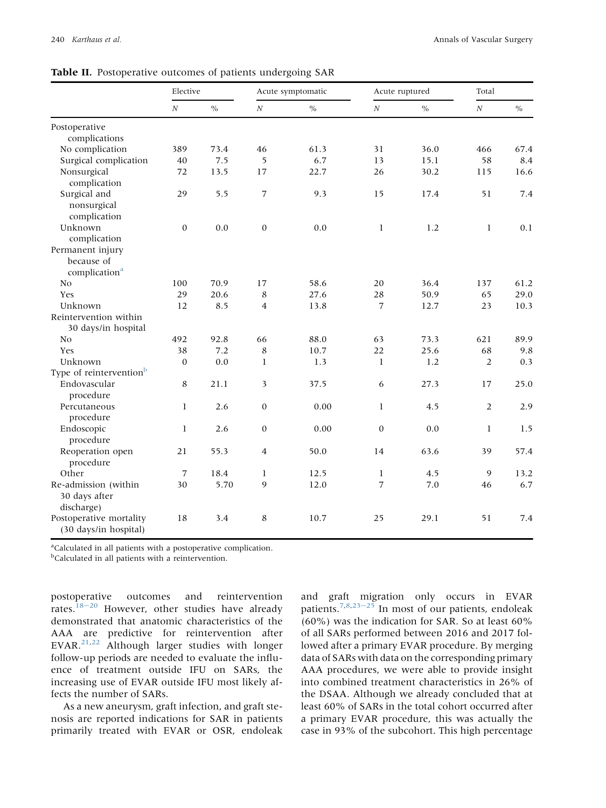|                                                             | Elective         |               |                         | Acute symptomatic |                  | Acute ruptured | Total            |      |  |
|-------------------------------------------------------------|------------------|---------------|-------------------------|-------------------|------------------|----------------|------------------|------|--|
|                                                             | $\boldsymbol{N}$ | $\frac{0}{0}$ | $\cal N$                | $\frac{0}{0}$     | $\boldsymbol{N}$ | $\frac{0}{0}$  | $\boldsymbol{N}$ | $\%$ |  |
| Postoperative                                               |                  |               |                         |                   |                  |                |                  |      |  |
| complications                                               | 389              | 73.4          | 46                      | 61.3              | 31               | 36.0           | 466              | 67.4 |  |
| No complication<br>Surgical complication                    | 40               | 7.5           | 5                       | 6.7               | 13               | 15.1           | 58               | 8.4  |  |
| Nonsurgical                                                 |                  |               |                         |                   |                  |                |                  |      |  |
| complication                                                | 72               | 13.5          | 17                      | 22.7              | 26               | 30.2           | 115              | 16.6 |  |
| Surgical and<br>nonsurgical<br>complication                 | 29               | 5.5           | 7                       | 9.3               | 15               | 17.4           | 51               | 7.4  |  |
| Unknown                                                     | $\mathbf{0}$     | 0.0           | $\boldsymbol{0}$        | 0.0               | $\mathbf{1}$     | 1.2            | $\mathbf{1}$     | 0.1  |  |
| complication                                                |                  |               |                         |                   |                  |                |                  |      |  |
| Permanent injury<br>because of<br>complication <sup>a</sup> |                  |               |                         |                   |                  |                |                  |      |  |
| No                                                          | 100              | 70.9          | 17                      | 58.6              | 20               | 36.4           | 137              | 61.2 |  |
| Yes                                                         | 29               | 20.6          | 8                       | 27.6              | 28               | 50.9           | 65               | 29.0 |  |
| Unknown                                                     | 12               | 8.5           | $\overline{4}$          | 13.8              | 7                | 12.7           | 23               | 10.3 |  |
| Reintervention within<br>30 days/in hospital                |                  |               |                         |                   |                  |                |                  |      |  |
| N <sub>0</sub>                                              | 492              | 92.8          | 66                      | 88.0              | 63               | 73.3           | 621              | 89.9 |  |
| Yes                                                         | 38               | 7.2           | 8                       | 10.7              | 22               | 25.6           | 68               | 9.8  |  |
| Unknown                                                     | $\mathbf{0}$     | 0.0           | $\mathbf{1}$            | 1.3               | $\mathbf{1}$     | 1.2            | $\overline{2}$   | 0.3  |  |
| Type of reintervention <sup>b</sup>                         |                  |               |                         |                   |                  |                |                  |      |  |
| Endovascular<br>procedure                                   | 8                | 21.1          | $\overline{\mathbf{3}}$ | 37.5              | 6                | 27.3           | 17               | 25.0 |  |
| Percutaneous<br>procedure                                   | $\mathbf{1}$     | 2.6           | $\boldsymbol{0}$        | 0.00              | 1                | 4.5            | $\overline{2}$   | 2.9  |  |
| Endoscopic<br>procedure                                     | $\mathbf{1}$     | 2.6           | $\boldsymbol{0}$        | 0.00              | $\boldsymbol{0}$ | 0.0            | 1                | 1.5  |  |
| Reoperation open<br>procedure                               | 21               | 55.3          | $\overline{4}$          | 50.0              | 14               | 63.6           | 39               | 57.4 |  |
| Other                                                       | 7                | 18.4          | $\mathbf{1}$            | 12.5              | $\mathbf{1}$     | 4.5            | 9                | 13.2 |  |
| Re-admission (within<br>30 days after<br>discharge)         | 30               | 5.70          | 9                       | 12.0              | 7                | 7.0            | 46               | 6.7  |  |
| Postoperative mortality<br>(30 days/in hospital)            | 18               | 3.4           | 8                       | 10.7              | 25               | 29.1           | 51               | 7.4  |  |

<span id="page-6-0"></span>Table II. Postoperative outcomes of patients undergoing SAR

<span id="page-6-1"></span><sup>a</sup>Calculated in all patients with a postoperative complication.

<span id="page-6-2"></span><sup>b</sup>Calculated in all patients with a reintervention.

postoperative outcomes and reintervention rates.<sup>[18](#page-10-12)-[20](#page-10-12)</sup> However, other studies have already demonstrated that anatomic characteristics of the AAA are predictive for reintervention after EVAR[.21,](#page-10-13)[22](#page-10-14) Although larger studies with longer follow-up periods are needed to evaluate the influence of treatment outside IFU on SARs, the increasing use of EVAR outside IFU most likely affects the number of SARs.

As a new aneurysm, graft infection, and graft stenosis are reported indications for SAR in patients primarily treated with EVAR or OSR, endoleak and graft migration only occurs in EVAR patients.<sup>[7](#page-10-3)[,8](#page-10-4)[,23](#page-10-15)-[25](#page-10-15)</sup> In most of our patients, endoleak (60%) was the indication for SAR. So at least 60% of all SARs performed between 2016 and 2017 followed after a primary EVAR procedure. By merging data of SARs with data on the corresponding primary AAA procedures, we were able to provide insight into combined treatment characteristics in 26% of the DSAA. Although we already concluded that at least 60% of SARs in the total cohort occurred after a primary EVAR procedure, this was actually the case in 93% of the subcohort. This high percentage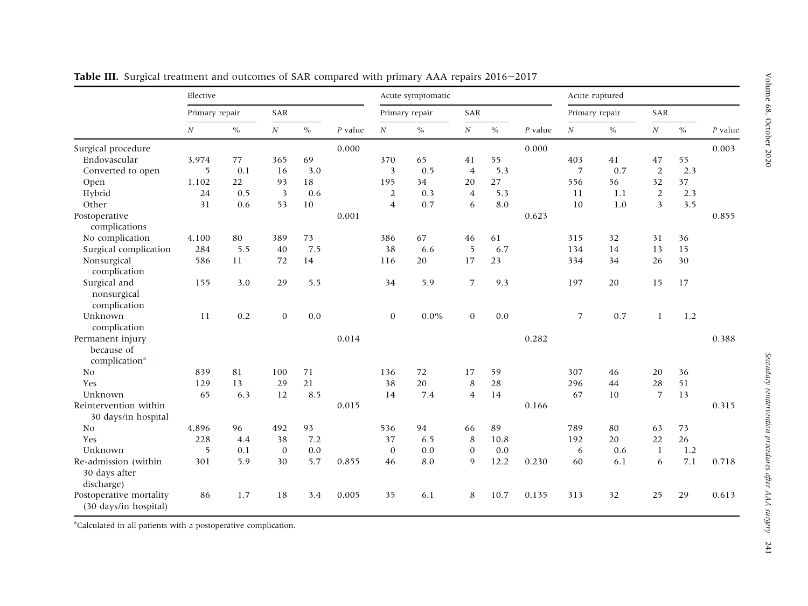|                                                             | Elective         |      |              |                   |       | Acute symptomatic |          |                |           |       | Acute ruptured |          |                 |           |       |
|-------------------------------------------------------------|------------------|------|--------------|-------------------|-------|-------------------|----------|----------------|-----------|-------|----------------|----------|-----------------|-----------|-------|
|                                                             | Primary repair   |      | SAR          |                   |       | Primary repair    |          | SAR            |           |       | Primary repair |          | SAR             |           |       |
|                                                             | $\boldsymbol{N}$ | $\%$ | N            | $\%$<br>$P$ value | N     | $\%$              | $\cal N$ | $\%$           | $P$ value | N     | $\%$           | $\cal N$ | $\sqrt[0]{\!0}$ | $P$ value |       |
| Surgical procedure                                          |                  |      |              |                   | 0.000 |                   |          |                |           | 0.000 |                |          |                 |           | 0.003 |
| Endovascular                                                | 3,974            | 77   | 365          | 69                |       | 370               | 65       | 41             | 55        |       | 403            | 41       | 47              | 55        |       |
| Converted to open                                           | 5                | 0.1  | 16           | 3.0               |       | 3                 | 0.5      | $\overline{4}$ | 5.3       |       | 7              | 0.7      | 2               | 2.3       |       |
| Open                                                        | 1,102            | 22   | 93           | 18                |       | 195               | 34       | 20             | 27        |       | 556            | 56       | 32              | 37        |       |
| Hybrid                                                      | 24               | 0.5  | 3            | 0.6               |       | 2                 | 0.3      | $\overline{4}$ | 5.3       |       | 11             | 1.1      | 2               | 2.3       |       |
| Other                                                       | 31               | 0.6  | 53           | 10                |       | $\overline{4}$    | 0.7      | 6              | 8.0       |       | 10             | 1.0      | 3               | 3.5       |       |
| Postoperative<br>complications                              |                  |      |              |                   | 0.001 |                   |          |                |           | 0.623 |                |          |                 |           | 0.855 |
| No complication                                             | 4,100            | 80   | 389          | 73                |       | 386               | 67       | 46             | 61        |       | 315            | 32       | 31              | 36        |       |
| Surgical complication                                       | 284              | 5.5  | 40           | 7.5               |       | 38                | 6.6      | 5              | 6.7       |       | 134            | 14       | 13              | 15        |       |
| Nonsurgical<br>complication                                 | 586              | 11   | 72           | 14                |       | 116               | 20       | 17             | 23        |       | 334            | 34       | 26              | 30        |       |
| Surgical and<br>nonsurgical<br>complication                 | 155              | 3.0  | 29           | 5.5               |       | 34                | 5.9      | $\overline{7}$ | 9.3       |       | 197            | 20       | 15              | 17        |       |
| Unknown<br>complication                                     | 11               | 0.2  | $\mathbf{0}$ | 0.0               |       | $\mathbf{0}$      | $0.0\%$  | $\mathbf{0}$   | 0.0       |       | $\overline{7}$ | 0.7      | 1               | 1.2       |       |
| Permanent injury<br>because of<br>complication <sup>a</sup> |                  |      |              |                   | 0.014 |                   |          |                |           | 0.282 |                |          |                 |           | 0.388 |
| No                                                          | 839              | 81   | 100          | 71                |       | 136               | 72       | 17             | 59        |       | 307            | 46       | 20              | 36        |       |
| Yes                                                         | 129              | 13   | 29           | 21                |       | 38                | 20       | 8              | 28        |       | 296            | 44       | 28              | 51        |       |
| Unknown                                                     | 65               | 6.3  | 12           | 8.5               |       | 14                | 7.4      | $\overline{4}$ | 14        |       | 67             | 10       | $\overline{7}$  | 13        |       |
| Reintervention within<br>30 days/in hospital                |                  |      |              |                   | 0.015 |                   |          |                |           | 0.166 |                |          |                 |           | 0.315 |
| N <sub>0</sub>                                              | 4,896            | 96   | 492          | 93                |       | 536               | 94       | 66             | 89        |       | 789            | 80       | 63              | 73        |       |
| Yes                                                         | 228              | 4.4  | 38           | 7.2               |       | 37                | 6.5      | 8              | 10.8      |       | 192            | 20       | 22              | 26        |       |
| Unknown                                                     | 5                | 0.1  | $\theta$     | 0.0               |       | $\mathbf{0}$      | 0.0      | $\theta$       | 0.0       |       | 6              | 0.6      | -1              | 1.2       |       |
| Re-admission (within                                        | 301              | 5.9  | 30           | 5.7               | 0.855 | 46                | 8.0      | 9              | 12.2      | 0.230 | 60             | 6.1      | 6               | 7.1       | 0.718 |
| 30 days after<br>discharge)                                 |                  |      |              |                   |       |                   |          |                |           |       |                |          |                 |           |       |
| Postoperative mortality<br>(30 days/in hospital)            | 86               | 1.7  | 18           | 3.4               | 0.005 | 35                | 6.1      | 8              | 10.7      | 0.135 | 313            | 32       | 25              | 29        | 0.613 |

<span id="page-7-0"></span>**Table III.** Surgical treatment and outcomes of SAR compared with primary AAA repairs 2016–2017

<span id="page-7-1"></span><sup>a</sup>Calculated in all patients with a postoperative complication.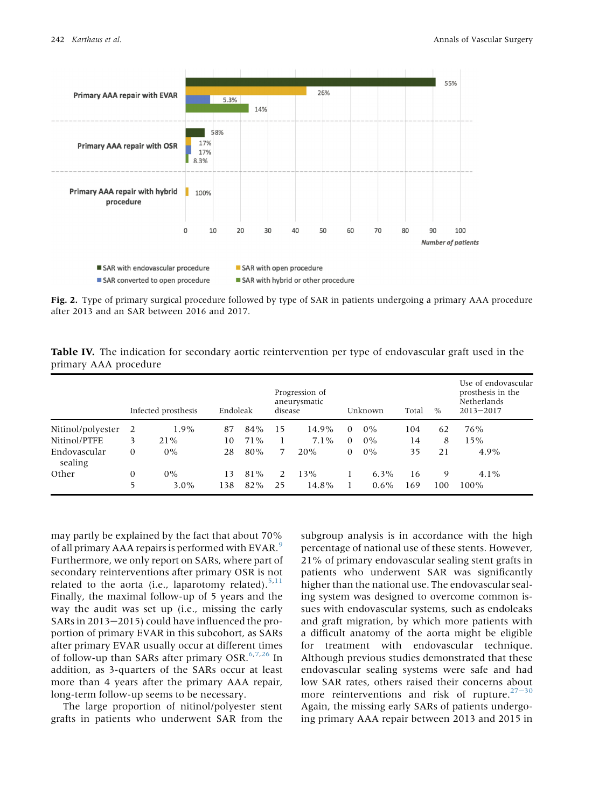<span id="page-8-0"></span>

Fig. 2. Type of primary surgical procedure followed by type of SAR in patients undergoing a primary AAA procedure after 2013 and an SAR between 2016 and 2017.

<span id="page-8-1"></span>Table IV. The indication for secondary aortic reintervention per type of endovascular graft used in the primary AAA procedure

|                         | Endoleak<br>Infected prosthesis |                  |           | Progression of<br>aneurysmatic<br>disease |                     |              | Unknown  | Total<br>$\%$      |           | Use of endovascular<br>prosthesis in the<br>Netherlands<br>$2013 - 2017$ |                 |
|-------------------------|---------------------------------|------------------|-----------|-------------------------------------------|---------------------|--------------|----------|--------------------|-----------|--------------------------------------------------------------------------|-----------------|
| Nitinol/polyester       | -2                              | $1.9\%$          | 87        | 84%                                       | 15                  | 14.9%        | $\Omega$ | $0\%$              | 104       | 62                                                                       | 76%             |
| Nitinol/PTFE            | 3                               | 21%              | 10        | $71\%$                                    |                     | $7.1\%$      | $\Omega$ | $0\%$              | 14        | 8                                                                        | 15%             |
| Endovascular<br>sealing | 0                               | $0\%$            | 28        | 80%                                       |                     | 20%          | 0        | $0\%$              | 35        | 21                                                                       | $4.9\%$         |
| Other                   | 0<br>5                          | $0\%$<br>$3.0\%$ | 13<br>138 | 81%<br>82%                                | $\mathcal{L}$<br>25 | 13%<br>14.8% |          | $6.3\%$<br>$0.6\%$ | 16<br>169 | 9<br>100                                                                 | $4.1\%$<br>100% |

may partly be explained by the fact that about 70% of all primary AAA repairs is performed with EVAR.<sup>[9](#page-10-5)</sup> Furthermore, we only report on SARs, where part of secondary reinterventions after primary OSR is not related to the aorta (i.e., laparotomy related).<sup>[5,](#page-10-8)[11](#page-10-7)</sup> Finally, the maximal follow-up of 5 years and the way the audit was set up (i.e., missing the early SARs in  $2013-2015$ ) could have influenced the proportion of primary EVAR in this subcohort, as SARs after primary EVAR usually occur at different times of follow-up than SARs after primary OSR. $6,7,26$  $6,7,26$  $6,7,26$  In addition, as 3-quarters of the SARs occur at least more than 4 years after the primary AAA repair, long-term follow-up seems to be necessary.

The large proportion of nitinol/polyester stent grafts in patients who underwent SAR from the

subgroup analysis is in accordance with the high percentage of national use of these stents. However, 21% of primary endovascular sealing stent grafts in patients who underwent SAR was significantly higher than the national use. The endovascular sealing system was designed to overcome common issues with endovascular systems, such as endoleaks and graft migration, by which more patients with a difficult anatomy of the aorta might be eligible for treatment with endovascular technique. Although previous studies demonstrated that these endovascular sealing systems were safe and had low SAR rates, others raised their concerns about more reinterventions and risk of rupture. $27-30$  $27-30$ Again, the missing early SARs of patients undergoing primary AAA repair between 2013 and 2015 in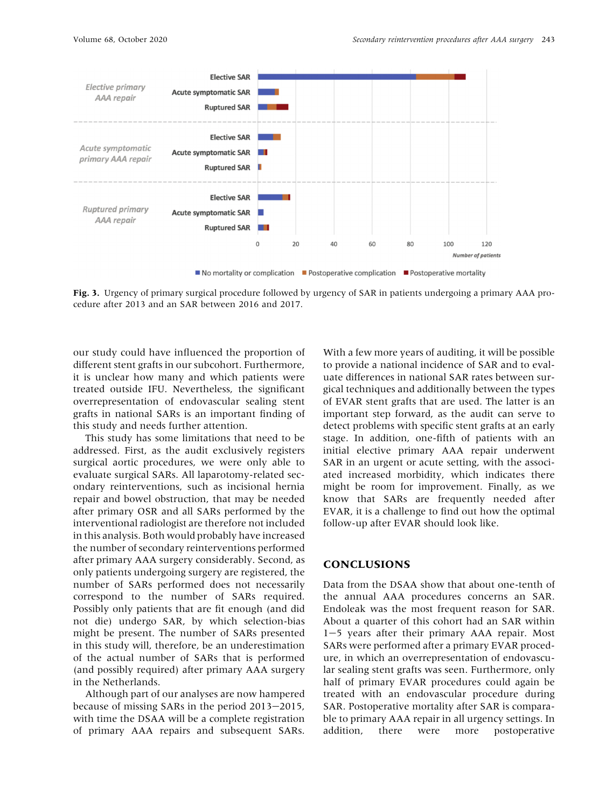<span id="page-9-0"></span>

Fig. 3. Urgency of primary surgical procedure followed by urgency of SAR in patients undergoing a primary AAA procedure after 2013 and an SAR between 2016 and 2017.

our study could have influenced the proportion of different stent grafts in our subcohort. Furthermore, it is unclear how many and which patients were treated outside IFU. Nevertheless, the significant overrepresentation of endovascular sealing stent grafts in national SARs is an important finding of this study and needs further attention.

This study has some limitations that need to be addressed. First, as the audit exclusively registers surgical aortic procedures, we were only able to evaluate surgical SARs. All laparotomy-related secondary reinterventions, such as incisional hernia repair and bowel obstruction, that may be needed after primary OSR and all SARs performed by the interventional radiologist are therefore not included in this analysis. Both would probably have increased the number of secondary reinterventions performed after primary AAA surgery considerably. Second, as only patients undergoing surgery are registered, the number of SARs performed does not necessarily correspond to the number of SARs required. Possibly only patients that are fit enough (and did not die) undergo SAR, by which selection-bias might be present. The number of SARs presented in this study will, therefore, be an underestimation of the actual number of SARs that is performed (and possibly required) after primary AAA surgery in the Netherlands.

Although part of our analyses are now hampered because of missing SARs in the period 2013-2015, with time the DSAA will be a complete registration of primary AAA repairs and subsequent SARs.

With a few more years of auditing, it will be possible to provide a national incidence of SAR and to evaluate differences in national SAR rates between surgical techniques and additionally between the types of EVAR stent grafts that are used. The latter is an important step forward, as the audit can serve to detect problems with specific stent grafts at an early stage. In addition, one-fifth of patients with an initial elective primary AAA repair underwent SAR in an urgent or acute setting, with the associated increased morbidity, which indicates there might be room for improvement. Finally, as we know that SARs are frequently needed after EVAR, it is a challenge to find out how the optimal follow-up after EVAR should look like.

## **CONCLUSIONS**

Data from the DSAA show that about one-tenth of the annual AAA procedures concerns an SAR. Endoleak was the most frequent reason for SAR. About a quarter of this cohort had an SAR within 1-5 years after their primary AAA repair. Most SARs were performed after a primary EVAR procedure, in which an overrepresentation of endovascular sealing stent grafts was seen. Furthermore, only half of primary EVAR procedures could again be treated with an endovascular procedure during SAR. Postoperative mortality after SAR is comparable to primary AAA repair in all urgency settings. In addition, there were more postoperative